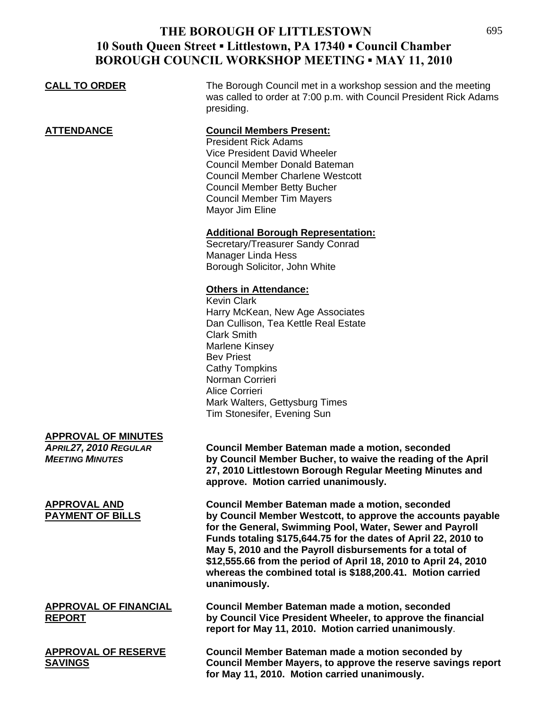## **THE BOROUGH OF LITTLESTOWN 10 South Queen Street ▪ Littlestown, PA 17340 ▪ Council Chamber BOROUGH COUNCIL WORKSHOP MEETING ▪ MAY 11, 2010**

**for May 11, 2010. Motion carried unanimously.** 

| <b>CALL TO ORDER</b>                                                          | The Borough Council met in a workshop session and the meeting<br>was called to order at 7:00 p.m. with Council President Rick Adams<br>presiding.                                                                                                                                                                                                                                                                                                               |
|-------------------------------------------------------------------------------|-----------------------------------------------------------------------------------------------------------------------------------------------------------------------------------------------------------------------------------------------------------------------------------------------------------------------------------------------------------------------------------------------------------------------------------------------------------------|
| <u>ATTENDANCE</u>                                                             | <b>Council Members Present:</b><br><b>President Rick Adams</b><br>Vice President David Wheeler<br>Council Member Donald Bateman<br><b>Council Member Charlene Westcott</b><br><b>Council Member Betty Bucher</b><br><b>Council Member Tim Mayers</b><br>Mayor Jim Eline                                                                                                                                                                                         |
|                                                                               | <b>Additional Borough Representation:</b><br>Secretary/Treasurer Sandy Conrad<br><b>Manager Linda Hess</b><br>Borough Solicitor, John White                                                                                                                                                                                                                                                                                                                     |
|                                                                               | <b>Others in Attendance:</b><br><b>Kevin Clark</b><br>Harry McKean, New Age Associates<br>Dan Cullison, Tea Kettle Real Estate<br><b>Clark Smith</b><br>Marlene Kinsey<br><b>Bev Priest</b><br><b>Cathy Tompkins</b><br>Norman Corrieri<br><b>Alice Corrieri</b><br>Mark Walters, Gettysburg Times<br>Tim Stonesifer, Evening Sun                                                                                                                               |
| <b>APPROVAL OF MINUTES</b><br>APRIL27, 2010 REGULAR<br><b>MEETING MINUTES</b> | Council Member Bateman made a motion, seconded<br>by Council Member Bucher, to waive the reading of the April<br>27, 2010 Littlestown Borough Regular Meeting Minutes and<br>approve. Motion carried unanimously.                                                                                                                                                                                                                                               |
| <b>APPROVAL AND</b><br><b>PAYMENT OF BILLS</b>                                | <b>Council Member Bateman made a motion, seconded</b><br>by Council Member Westcott, to approve the accounts payable<br>for the General, Swimming Pool, Water, Sewer and Payroll<br>Funds totaling \$175,644.75 for the dates of April 22, 2010 to<br>May 5, 2010 and the Payroll disbursements for a total of<br>\$12,555.66 from the period of April 18, 2010 to April 24, 2010<br>whereas the combined total is \$188,200.41. Motion carried<br>unanimously. |
| <b>APPROVAL OF FINANCIAL</b><br><b>REPORT</b>                                 | Council Member Bateman made a motion, seconded<br>by Council Vice President Wheeler, to approve the financial<br>report for May 11, 2010. Motion carried unanimously.                                                                                                                                                                                                                                                                                           |
| <b>APPROVAL OF RESERVE</b><br><b>SAVINGS</b>                                  | Council Member Bateman made a motion seconded by<br>Council Member Mayers, to approve the reserve savings report                                                                                                                                                                                                                                                                                                                                                |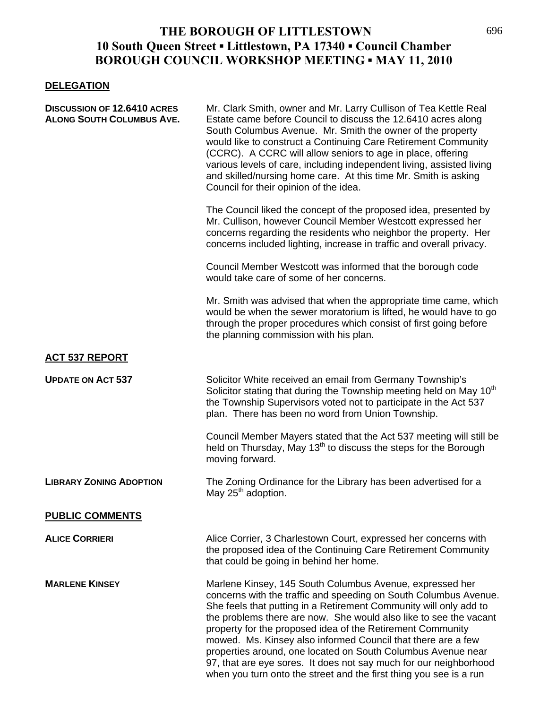## **THE BOROUGH OF LITTLESTOWN 10 South Queen Street ▪ Littlestown, PA 17340 ▪ Council Chamber BOROUGH COUNCIL WORKSHOP MEETING ▪ MAY 11, 2010**

## **DELEGATION**

| <b>DISCUSSION OF 12.6410 ACRES</b><br><b>ALONG SOUTH COLUMBUS AVE.</b> | Mr. Clark Smith, owner and Mr. Larry Cullison of Tea Kettle Real<br>Estate came before Council to discuss the 12.6410 acres along<br>South Columbus Avenue. Mr. Smith the owner of the property<br>would like to construct a Continuing Care Retirement Community<br>(CCRC). A CCRC will allow seniors to age in place, offering<br>various levels of care, including independent living, assisted living<br>and skilled/nursing home care. At this time Mr. Smith is asking<br>Council for their opinion of the idea.                                                                                          |
|------------------------------------------------------------------------|-----------------------------------------------------------------------------------------------------------------------------------------------------------------------------------------------------------------------------------------------------------------------------------------------------------------------------------------------------------------------------------------------------------------------------------------------------------------------------------------------------------------------------------------------------------------------------------------------------------------|
|                                                                        | The Council liked the concept of the proposed idea, presented by<br>Mr. Cullison, however Council Member Westcott expressed her<br>concerns regarding the residents who neighbor the property. Her<br>concerns included lighting, increase in traffic and overall privacy.                                                                                                                                                                                                                                                                                                                                      |
|                                                                        | Council Member Westcott was informed that the borough code<br>would take care of some of her concerns.                                                                                                                                                                                                                                                                                                                                                                                                                                                                                                          |
|                                                                        | Mr. Smith was advised that when the appropriate time came, which<br>would be when the sewer moratorium is lifted, he would have to go<br>through the proper procedures which consist of first going before<br>the planning commission with his plan.                                                                                                                                                                                                                                                                                                                                                            |
| <b>ACT 537 REPORT</b>                                                  |                                                                                                                                                                                                                                                                                                                                                                                                                                                                                                                                                                                                                 |
| <b>UPDATE ON ACT 537</b>                                               | Solicitor White received an email from Germany Township's<br>Solicitor stating that during the Township meeting held on May 10 <sup>th</sup><br>the Township Supervisors voted not to participate in the Act 537<br>plan. There has been no word from Union Township.                                                                                                                                                                                                                                                                                                                                           |
|                                                                        | Council Member Mayers stated that the Act 537 meeting will still be<br>held on Thursday, May 13 <sup>th</sup> to discuss the steps for the Borough<br>moving forward.                                                                                                                                                                                                                                                                                                                                                                                                                                           |
| <b>LIBRARY ZONING ADOPTION</b>                                         | The Zoning Ordinance for the Library has been advertised for a<br>May 25 <sup>th</sup> adoption.                                                                                                                                                                                                                                                                                                                                                                                                                                                                                                                |
| <b>PUBLIC COMMENTS</b>                                                 |                                                                                                                                                                                                                                                                                                                                                                                                                                                                                                                                                                                                                 |
| <b>ALICE CORRIERI</b>                                                  | Alice Corrier, 3 Charlestown Court, expressed her concerns with<br>the proposed idea of the Continuing Care Retirement Community<br>that could be going in behind her home.                                                                                                                                                                                                                                                                                                                                                                                                                                     |
| <b>MARLENE KINSEY</b>                                                  | Marlene Kinsey, 145 South Columbus Avenue, expressed her<br>concerns with the traffic and speeding on South Columbus Avenue.<br>She feels that putting in a Retirement Community will only add to<br>the problems there are now. She would also like to see the vacant<br>property for the proposed idea of the Retirement Community<br>mowed. Ms. Kinsey also informed Council that there are a few<br>properties around, one located on South Columbus Avenue near<br>97, that are eye sores. It does not say much for our neighborhood<br>when you turn onto the street and the first thing you see is a run |